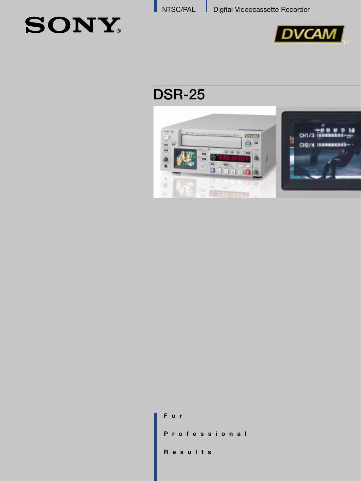# **SONY**



## **DSR-25**



| F o r        |  |
|--------------|--|
| Professional |  |
| Results      |  |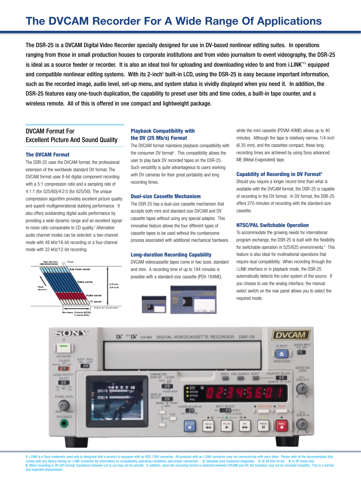### **The DVCAM Recorder For A Wide Range Of Applications**

The DSR-25 is a DVCAM Digital Video Recorder specially designed for use in DV-based nonlinear editing suites. In operations ranging from those in small production houses to corporate institutions and from video journalism to event videography, the DSR-25 is ideal as a source feeder or recorder. It is also an ideal tool for uploading and downloading video to and from i.LINK™1 equipped and compatible nonlinear editing systems. With its 2-inch<sup>2</sup> built-in LCD, using the DSR-25 is easy because important information, such as the recorded image, audio level, set-up menu, and system status is vividly displayed when you need it. In addition, the DSR-25 features easy one-touch duplication, the capability to preset user bits and time codes, a built-in tape counter, and a wireless remote. All of this is offered in one compact and lightweight package.

#### DVCAM Format For Excellent Picture And Sound Quality

#### **The DVCAM Format**

The DSR-25 uses the DVCAM format, the professional extension of the worldwide standard DV format. The DVCAM format uses 8-bit digital component recording with a 5:1 compression ratio and a sampling rate of 4:1:1 (for 525/60)/4:2:0 (for 625/50). The unique compression algorithm provides excellent picture quality and superb multigenerational dubbing performance. It also offers outstanding digital audio performance by providing a wide dynamic range and an excellent signalto-noise ratio comparable to CD quality.<sup>3</sup> Alternative audio channel modes can be selected: a two-channel mode with 48 kHz/16-bit recording or a four-channel mode with 32 kHz/12-bit recording.



#### **Playback Compatibility with the DV (25 Mb/s) Format**

The DVCAM format maintains playback compatibility with the consumer DV format<sup>4</sup>. This compatibility allows the user to play back DV recorded tapes on the DSR-25. Such versatility is quite advantageous to users working with DV cameras for their great portability and long recording times.

#### **Dual-size Cassette Mechanism**

The DSR-25 has a dual-size cassette mechanism that accepts both mini and standard size DVCAM and DV cassette tapes without using any special adaptor. This innovative feature allows the four different types of cassette tapes to be used without the cumbersome process associated with additional mechanical hardware.

#### **Long-duration Recording Capability**

DVCAM videocassette tapes come in two sizes: standard and mini. A recording time of up to 184 minutes is possible with a standard-size cassette (PDV-184ME),



while the mini cassette (PDVM-40ME) allows up to 40 minutes. Although the tape is relatively narrow, 1/4-inch (6.35 mm), and the cassettes compact, these long recording times are achieved by using Sony advanced ME (Metal Evaporated) tape.

#### **Capability of Recording in DV Format5**

Should you require a longer record time than what is available with the DVCAM format, the DSR-25 is capable of recording in the DV format. In DV format, the DSR-25 offers 270 minutes of recording with the standard-size cassette.

#### **NTSC/PAL Switchable Operation**

To accommodate the growing needs for international program exchange, the DSR-25 is built with the flexibility for switchable operation in 525/625 environments.<sup>6</sup> This feature is also ideal for multinational operations that require dual compatibility. When recording through the i.LINK interface or in playback mode, the DSR-25 automatically detects the color system of the source. If you choose to use the analog interface, the manual select switch on the rear panel allows you to select the required mode.



1. i.LINK is a Sony trademark used only to designate that a product is equipped with an IEEE 1394 connector. All products with an i.LINK connector may not communicate with each other. Please refer to the documentation that nation on compatibility, operating conditions, and proper connection. 2. Viewable area mea 5. When recording in DV (SP) format, transitions between cut to cut may not be smooth. In addition, when the recording format is switched between DVCAM and DV, the transition may not be recorded smoothly. This is a norma cted ph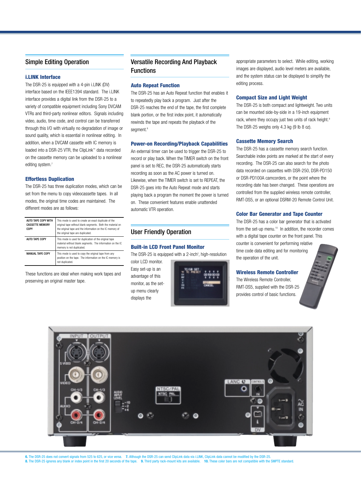#### Simple Editing Operation

#### **i.LINK Interface**

The DSR-25 is equipped with a 4-pin i.LINK (DV) interface based on the IEEE1394 standard. The i.LINK interface provides a digital link from the DSR-25 to a variety of compatible equipment including Sony DVCAM VTRs and third-party nonlinear editors. Signals including video, audio, time code, and control can be transferred through this I/O with virtually no degradation of image or sound quality, which is essential in nonlinear editing. In addition, when a DVCAM cassette with IC memory is loaded into a DSR-25 VTR, the ClipLink™ data recorded on the cassette memory can be uploaded to a nonlinear editing system.<sup>7</sup>

#### **Effortless Duplication**

The DSR-25 has three duplication modes, which can be set from the menu to copy videocassette tapes. In all modes, the original time codes are maintained. The different modes are as follows:

| AUTO TAPE COPY WITH<br><b>CASSETTE MEMORY</b><br>COPY | This mode is used to create an exact duplicate of the<br>original tape without blank segments. Both the material on<br>the original tape and the information on the IC memory of<br>the original tape are duplicated. |
|-------------------------------------------------------|-----------------------------------------------------------------------------------------------------------------------------------------------------------------------------------------------------------------------|
| AUTO TAPE COPY                                        | This mode is used for duplication of the original tape<br>material without blank segments. The information on the IC<br>memory is not duplicated.                                                                     |
| <b>MANUAL TAPE COPY</b>                               | This mode is used to copy the original tape from any<br>position on the tape. The information on the IC memory is<br>not duplicated.                                                                                  |

These functions are ideal when making work tapes and preserving an original master tape.

#### Versatile Recording And Playback Functions

#### **Auto Repeat Function**

The DSR-25 has an Auto Repeat function that enables it to repeatedly play back a program. Just after the DSR-25 reaches the end of the tape, the first complete blank portion, or the first index point, it automatically rewinds the tape and repeats the playback of the segment.<sup>8</sup>

#### **Power-on Recording/Playback Capabilities**

An external timer can be used to trigger the DSR-25 to record or play back. When the TIMER switch on the front panel is set to REC, the DSR-25 automatically starts recording as soon as the AC power is turned on. Likewise, when the TIMER switch is set to REPEAT, the DSR-25 goes into the Auto Repeat mode and starts playing back a program the moment the power is turned on. These convenient features enable unattended automatic VTR operation.

#### User Friendly Operation

#### **Built-in LCD Front Panel Monitor**

The DSR-25 is equipped with a 2-inch<sup>2</sup>, high-resolution

color LCD monitor. Easy set-up is an advantage of this monitor, as the setup menu clearly displays the



appropriate parameters to select. While editing, working images are displayed, audio level meters are available, and the system status can be displayed to simplify the editing process.

#### **Compact Size and Light Weight**

The DSR-25 is both compact and lightweight. Two units can be mounted side-by-side in a 19-inch equipment rack, where they occupy just two units of rack height.<sup>9</sup> The DSR-25 weighs only 4.3 kg (9 lb 8 oz).

#### **Cassette Memory Search**

The DSR-25 has a cassette memory search function. Searchable index points are marked at the start of every recording. The DSR-25 can also search for the photo data recorded on cassettes with DSR-250, DSR-PD150 or DSR-PD100A camcorders, or the point where the recording date has been changed. These operations are controlled from the supplied wireless remote controller, RMT-DS5, or an optional DSRM-20 Remote Control Unit.

#### **Color Bar Generator and Tape Counter**

The DSR-25 has a color bar generator that is activated from the set-up menu.<sup>10</sup> In addition, the recorder comes with a digital tape counter on the front panel. This counter is convenient for performing relative time code data editing and for monitoring the operation of the unit.

#### **Wireless Remote Controller**

The Wireless Remote Controller, RMT-DS5, supplied with the DSR-25 provides control of basic functions.



**6.** The DSR-25 does not convert signals from 525 to 625, or vice versa. **7.** Although the DSR-25 can send ClipLink data via i.LINK, ClipLink data cannot be modified by the DSR-25.<br>**8.** The DSR-25 ignores any blank or inde **8.** The DSR-25 ignores any blank or index point in the first 20 seconds of the tape. **9.** Third party rack-mount kits are available.